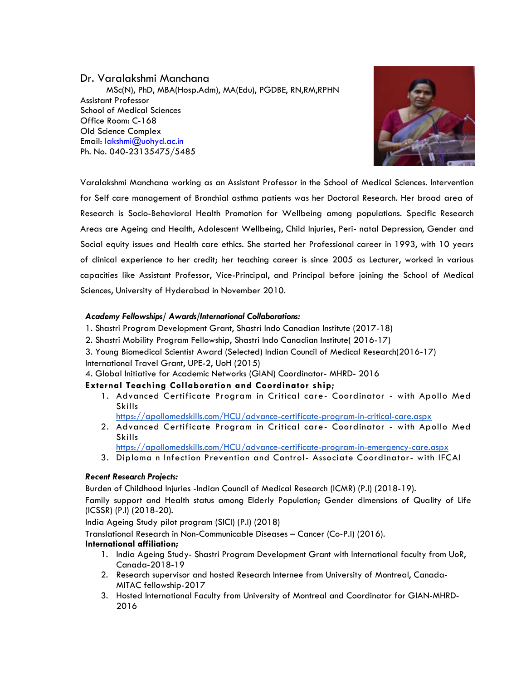# Dr. Varalakshmi Manchana

 MSc(N), PhD, MBA(Hosp.Adm), MA(Edu), PGDBE, RN,RM,RPHN Assistant Professor School of Medical Sciences Office Room: C-168 Old Science Complex Email: [lakshmi@uohyd.ac.in](mailto:lakshmi@uohyd.ac.in) Ph. No. 040-23135475/5485



Varalakshmi Manchana working as an Assistant Professor in the School of Medical Sciences. Intervention for Self care management of Bronchial asthma patients was her Doctoral Research. Her broad area of Research is Socio-Behavioral Health Promotion for Wellbeing among populations. Specific Research Areas are Ageing and Health, Adolescent Wellbeing, Child Injuries, Peri- natal Depression, Gender and Social equity issues and Health care ethics. She started her Professional career in 1993, with 10 years of clinical experience to her credit; her teaching career is since 2005 as Lecturer, worked in various capacities like Assistant Professor, Vice-Principal, and Principal before joining the School of Medical Sciences, University of Hyderabad in November 2010.

### *Academy Fellowships/ Awards/International Collaborations:*

- 1. Shastri Program Development Grant, Shastri Indo Canadian Institute (2017-18)
- 2. Shastri Mobility Program Fellowship, Shastri Indo Canadian Institute( 2016-17)
- 3. Young Biomedical Scientist Award (Selected) Indian Council of Medical Research(2016-17) International Travel Grant, UPE-2, UoH (2015)

4. Global Initiative for Academic Networks (GIAN) Coordinator- MHRD- 2016

## **External Teaching Collaboration and Coordinator ship;**

- 1. Advanced Certificate Program in Critical care- Coordinator with Apollo Med Skills
	- <https://apollomedskills.com/HCU/advance-certificate-program-in-critical-care.aspx>
- 2. Advanced Certificate Program in Critical care- Coordinator with Apollo Med Skills
	- <https://apollomedskills.com/HCU/advance-certificate-program-in-emergency-care.aspx>
- 3. Diploma n Infection Prevention and Control- Associate Coordinator- with IFCAI

## *Recent Research Projects:*

Burden of Childhood Injuries -Indian Council of Medical Research (ICMR) (P.I) (2018-19).

 Family support and Health status among Elderly Population; Gender dimensions of Quality of Life (ICSSR) (P.I) (2018-20).

India Ageing Study pilot program (SICI) (P.I) (2018)

Translational Research in Non-Communicable Diseases – Cancer (Co-P.I) (2016).

## **International affiliation;**

- 1. India Ageing Study- Shastri Program Development Grant with International faculty from UoR, Canada-2018-19
- 2. Research supervisor and hosted Research Internee from University of Montreal, Canada-MITAC fellowship-2017
- 3. Hosted International Faculty from University of Montreal and Coordinator for GIAN-MHRD-2016